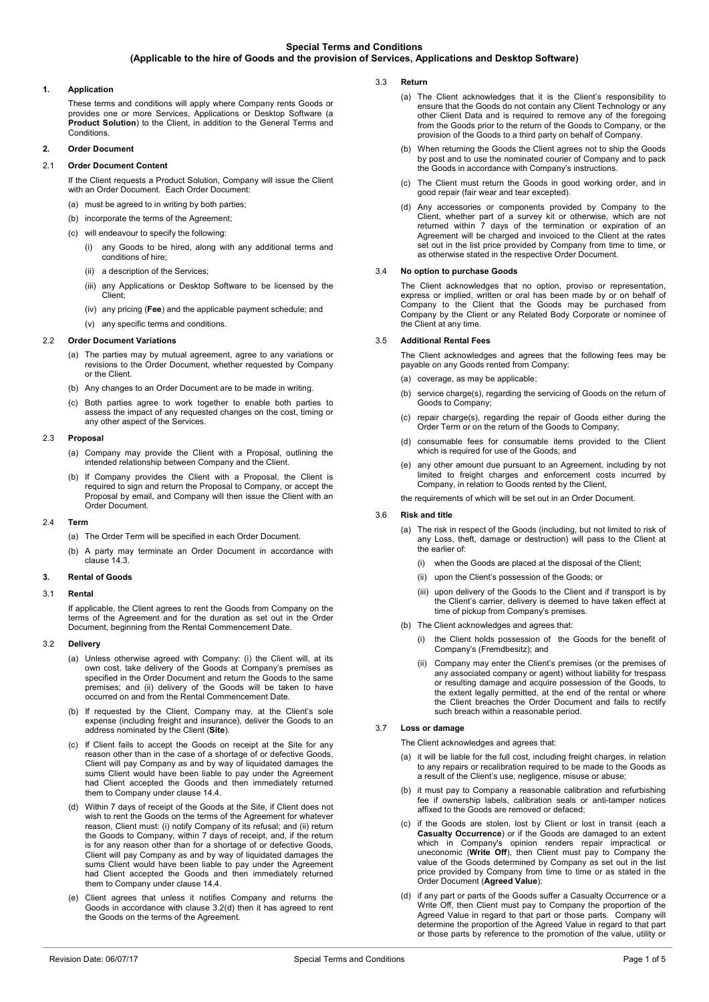## **1. Application**

These terms and conditions will apply where Company rents Goods or provides one or more Services, Applications or Desktop Software (a **Product Solution**) to the Client, in addition to the General Terms and Conditions.

### **2. Order Document**

### 2.1 **Order Document Content**

If the Client requests a Product Solution, Company will issue the Client with an Order Document. Each Order Document:

- (a) must be agreed to in writing by both parties;
- (b) incorporate the terms of the Agreement
- (c) will endeavour to specify the following:
	- (i) any Goods to be hired, along with any additional terms and conditions of hire;
	- (ii) a description of the Services;
	- (iii) any Applications or Desktop Software to be licensed by the Client;
	- (iv) any pricing (**Fee**) and the applicable payment schedule; and
	- (v) any specific terms and conditions.

### 2.2 **Order Document Variations**

- (a) The parties may by mutual agreement, agree to any variations or revisions to the Order Document, whether requested by Company or the Client.
- (b) Any changes to an Order Document are to be made in writing.
- (c) Both parties agree to work together to enable both parties to assess the impact of any requested changes on the cost, timing or any other aspect of the Services.

### 2.3 **Proposal**

- (a) Company may provide the Client with a Proposal, outlining the intended relationship between Company and the Client.
- (b) If Company provides the Client with a Proposal, the Client is required to sign and return the Proposal to Company, or accept the Proposal by email, and Company will then issue the Client with an Order Document.

### 2.4 **Term**

- (a) The Order Term will be specified in each Order Document.
- (b) A party may terminate an Order Document in accordance with clause [14.3.](#page-3-0)

## **3. Rental of Goods**

### 3.1 **Rental**

If applicable, the Client agrees to rent the Goods from Company on the terms of the Agreement and for the duration as set out in the Order Document, beginning from the Rental Commencement Date.

### 3.2 **Delivery**

- (a) Unless otherwise agreed with Company: (i) the Client will, at its own cost, take delivery of the Goods at Company's premises as specified in the Order Document and return the Goods to the same premises; and (ii) delivery of the Goods will be taken to have occurred on and from the Rental Commencement Date.
- (b) If requested by the Client, Company may, at the Client's sole expense (including freight and insurance), deliver the Goods to an address nominated by the Client (**Site**).
- (c) If Client fails to accept the Goods on receipt at the Site for any reason other than in the case of a shortage of or defective Goods, Client will pay Company as and by way of liquidated damages the sums Client would have been liable to pay under the Agreement had Client accepted the Goods and then immediately returned them to Company under clause [14.4.](#page-3-1)
- <span id="page-0-0"></span>(d) Within 7 days of receipt of the Goods at the Site, if Client does not wish to rent the Goods on the terms of the Agreement for whatever reason, Client must: (i) notify Company of its refusal; and (ii) return the Goods to Company, within 7 days of receipt, and, if the return is for any reason other than for a shortage of or defective Goods, Client will pay Company as and by way of liquidated damages the sums Client would have been liable to pay under the Agreement had Client accepted the Goods and then immediately returned them to Company under claus[e 14.4.](#page-3-1)
- (e) Client agrees that unless it notifies Company and returns the Goods in accordance with clause [3.2\(d\)](#page-0-0) then it has agreed to rent the Goods on the terms of the Agreement.
- 3.3 **Return** 
	- (a) The Client acknowledges that it is the Client's responsibility to ensure that the Goods do not contain any Client Technology or any other Client Data and is required to remove any of the foregoing from the Goods prior to the return of the Goods to Company, or the provision of the Goods to a third party on behalf of Company.
	- (b) When returning the Goods the Client agrees not to ship the Goods by post and to use the nominated courier of Company and to pack the Goods in accordance with Company's instructions.
	- (c) The Client must return the Goods in good working order, and in good repair (fair wear and tear excepted).
	- (d) Any accessories or components provided by Company to the Client, whether part of a survey kit or otherwise, which are not returned within 7 days of the termination or expiration of an Agreement will be charged and invoiced to the Client at the rates set out in the list price provided by Company from time to time, or as otherwise stated in the respective Order Document.

### <span id="page-0-3"></span>3.4 **No option to purchase Goods**

The Client acknowledges that no option, proviso or representation, express or implied, written or oral has been made by or on behalf of Company to the Client that the Goods may be purchased from Company by the Client or any Related Body Corporate or nominee of the Client at any time.

### 3.5 **Additional Rental Fees**

The Client acknowledges and agrees that the following fees may be payable on any Goods rented from Company:

- (a) coverage, as may be applicable:
- (b) service charge(s), regarding the servicing of Goods on the return of Goods to Company;
- (c) repair charge(s), regarding the repair of Goods either during the Order Term or on the return of the Goods to Company;
- (d) consumable fees for consumable items provided to the Client which is required for use of the Goods; and
- (e) any other amount due pursuant to an Agreement, including by not limited to freight charges and enforcement costs incurred by Company, in relation to Goods rented by the Client,

the requirements of which will be set out in an Order Document.

### 3.6 **Risk and title**

- (a) The risk in respect of the Goods (including, but not limited to risk of any Loss, theft, damage or destruction) will pass to the Client at the earlier of:
	- (i) when the Goods are placed at the disposal of the Client;
	- (ii) upon the Client's possession of the Goods; or
	- (iii) upon delivery of the Goods to the Client and if transport is by the Client's carrier, delivery is deemed to have taken effect at time of pickup from Company's premises.
- (b) The Client acknowledges and agrees that:
	- (i) the Client holds possession of the Goods for the benefit of Company's (Fremdbesitz); and
	- (ii) Company may enter the Client's premises (or the premises of any associated company or agent) without liability for trespass or resulting damage and acquire possession of the Goods, to the extent legally permitted, at the end of the rental or where the Client breaches the Order Document and fails to rectify such breach within a reasonable period.

### 3.7 **Loss or damage**

The Client acknowledges and agrees that:

- it will be liable for the full cost, including freight charges, in relation to any repairs or recalibration required to be made to the Goods as a result of the Client's use, negligence, misuse or abuse;
- (b) it must pay to Company a reasonable calibration and refurbishing fee if ownership labels, calibration seals or anti-tamper notices affixed to the Goods are removed or defaced;
- <span id="page-0-1"></span>(c) if the Goods are stolen, lost by Client or lost in transit (each a **Casualty Occurrence**) or if the Goods are damaged to an extent which in Company's opinion renders repair impractical or uneconomic (**Write Off**), then Client must pay to Company the value of the Goods determined by Company as set out in the list price provided by Company from time to time or as stated in the Order Document (**Agreed Value**);
- <span id="page-0-2"></span>(d) if any part or parts of the Goods suffer a Casualty Occurrence or a Write Off, then Client must pay to Company the proportion of the Agreed Value in regard to that part or those parts. Company will determine the proportion of the Agreed Value in regard to that part or those parts by reference to the promotion of the value, utility or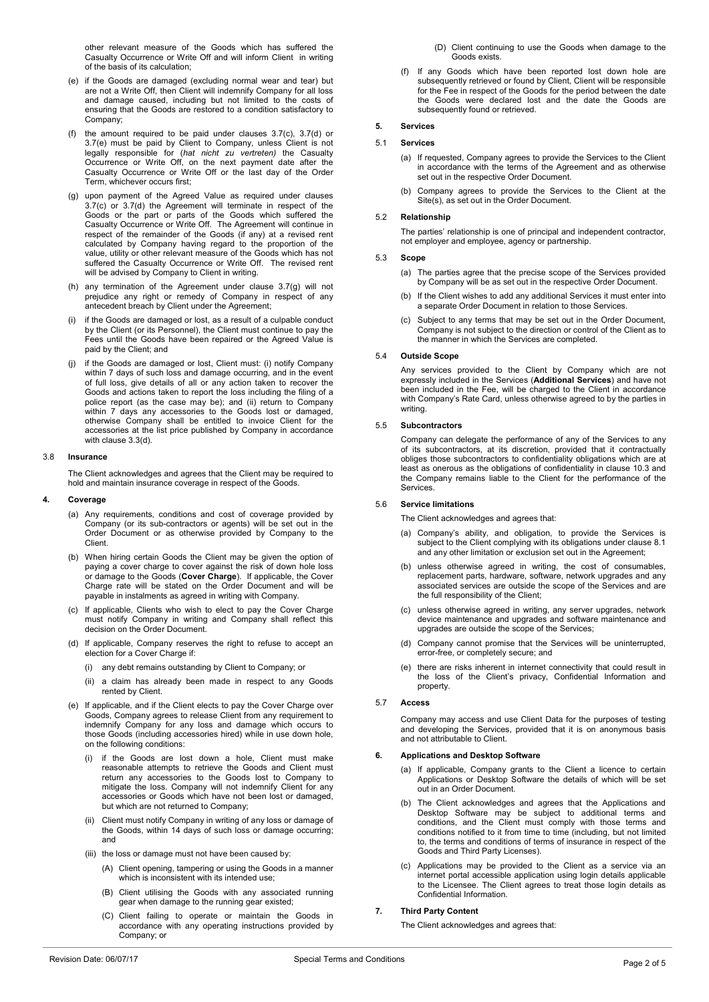other relevant measure of the Goods which has suffered the Casualty Occurrence or Write Off and will inform Client in writing of the basis of its calculation;

- <span id="page-1-0"></span>(e) if the Goods are damaged (excluding normal wear and tear) but are not a Write Off, then Client will indemnify Company for all loss and damage caused, including but not limited to the costs of ensuring that the Goods are restored to a condition satisfactory to Company;
- (f) the amount required to be paid under clauses [3.7\(c\),](#page-0-1) [3.7\(d\)](#page-0-2) or [3.7\(e\)](#page-1-0) must be paid by Client to Company, unless Client is not legally responsible for (*hat nicht zu vertreten)* the Casualty Occurrence or Write Off, on the next payment date after the Casualty Occurrence or Write Off or the last day of the Order Term, whichever occurs first;
- <span id="page-1-1"></span>(g) upon payment of the Agreed Value as required under clauses [3.7\(c\)](#page-0-1) or [3.7\(d\)](#page-0-2) the Agreement will terminate in respect of the Goods or the part or parts of the Goods which suffered the Casualty Occurrence or Write Off. The Agreement will continue in respect of the remainder of the Goods (if any) at a revised rent calculated by Company having regard to the proportion of the value, utility or other relevant measure of the Goods which has not suffered the Casualty Occurrence or Write Off. The revised rent will be advised by Company to Client in writing.
- (h) any termination of the Agreement under clause [3.7\(g\)](#page-1-1) will not prejudice any right or remedy of Company in respect of any antecedent breach by Client under the Agreement;
- (i) if the Goods are damaged or lost, as a result of a culpable conduct by the Client (or its Personnel), the Client must continue to pay the Fees until the Goods have been repaired or the Agreed Value is paid by the Client; and
- <span id="page-1-2"></span>(j) if the Goods are damaged or lost, Client must: (i) notify Company within 7 days of such loss and damage occurring, and in the event of full loss, give details of all or any action taken to recover the Goods and actions taken to report the loss including the filing of a police report (as the case may be); and (ii) return to Company within 7 days any accessories to the Goods lost or damaged, otherwise Company shall be entitled to invoice Client for the accessories at the list price published by Company in accordance with clause [3.3\(d\).](#page-0-3)

#### 3.8 **Insurance**

The Client acknowledges and agrees that the Client may be required to hold and maintain insurance coverage in respect of the Goods.

#### **4. Coverage**

- (a) Any requirements, conditions and cost of coverage provided by Company (or its sub-contractors or agents) will be set out in the Order Document or as otherwise provided by Company to the Client.
- (b) When hiring certain Goods the Client may be given the option of paying a cover charge to cover against the risk of down hole loss or damage to the Goods (**Cover Charge**). If applicable, the Cover Charge rate will be stated on the Order Document and will be payable in instalments as agreed in writing with Company.
- (c) If applicable, Clients who wish to elect to pay the Cover Charge must notify Company in writing and Company shall reflect this decision on the Order Document.
- (d) If applicable, Company reserves the right to refuse to accept an election for a Cover Charge if:
	- (i) any debt remains outstanding by Client to Company; or
	- (ii) a claim has already been made in respect to any Goods rented by Client.
- (e) If applicable, and if the Client elects to pay the Cover Charge over Goods, Company agrees to release Client from any requirement to indemnify Company for any loss and damage which occurs to those Goods (including accessories hired) while in use down hole, on the following conditions:
	- (i) if the Goods are lost down a hole, Client must make reasonable attempts to retrieve the Goods and Client must return any accessories to the Goods lost to Company to mitigate the loss. Company will not indemnify Client for any accessories or Goods which have not been lost or damaged, but which are not returned to Company;
	- (ii) Client must notify Company in writing of any loss or damage of the Goods, within 14 days of such loss or damage occurring; and
	- (iii) the loss or damage must not have been caused by:
		- (A) Client opening, tampering or using the Goods in a manner which is inconsistent with its intended use;
		- (B) Client utilising the Goods with any associated running gear when damage to the running gear existed;
		- (C) Client failing to operate or maintain the Goods in accordance with any operating instructions provided by Company; or
- (D) Client continuing to use the Goods when damage to the Goods exists.
- (f) If any Goods which have been reported lost down hole are subsequently retrieved or found by Client, Client will be responsible for the Fee in respect of the Goods for the period between the date the Goods were declared lost and the date the Goods are subsequently found or retrieved.

#### **5. Services**

#### 5.1 **Services**

- (a) If requested, Company agrees to provide the Services to the Client in accordance with the terms of the Agreement and as otherwise set out in the respective Order Document.
- (b) Company agrees to provide the Services to the Client at the Site(s), as set out in the Order Document.

### 5.2 **Relationship**

The parties' relationship is one of principal and independent contractor, not employer and employee, agency or partnership.

## 5.3 **Scope**

- (a) The parties agree that the precise scope of the Services provided by Company will be as set out in the respective Order Document.
- (b) If the Client wishes to add any additional Services it must enter into a separate Order Document in relation to those Services.
- (c) Subject to any terms that may be set out in the Order Document, Company is not subject to the direction or control of the Client as to the manner in which the Services are completed.

#### 5.4 **Outside Scope**

Any services provided to the Client by Company which are not expressly included in the Services (**Additional Services**) and have not been included in the Fee, will be charged to the Client in accordance with Company's Rate Card, unless otherwise agreed to by the parties in writing.

### 5.5 **Subcontractors**

Company can delegate the performance of any of the Services to any of its subcontractors, at its discretion, provided that it contractually obliges those subcontractors to confidentiality obligations which are at least as onerous as the obligations of confidentiality in claus[e 10.3](#page-2-0) and the Company remains liable to the Client for the performance of the Services.

### 5.6 **Service limitations**

The Client acknowledges and agrees that:

- (a) Company's ability, and obligation, to provide the Services is subject to the Client complying with its obligations under claus[e 8.1](#page-2-1) and any other limitation or exclusion set out in the Agreement;
- (b) unless otherwise agreed in writing, the cost of consumables, replacement parts, hardware, software, network upgrades and any associated services are outside the scope of the Services and are the full responsibility of the Client;
- (c) unless otherwise agreed in writing, any server upgrades, network device maintenance and upgrades and software maintenance and upgrades are outside the scope of the Services;
- (d) Company cannot promise that the Services will be uninterrupted, error-free, or completely secure; and
- (e) there are risks inherent in internet connectivity that could result in the loss of the Client's privacy, Confidential Information and property.

#### 5.7 **Access**

Company may access and use Client Data for the purposes of testing and developing the Services, provided that it is on anonymous basis and not attributable to Client.

#### **6. Applications and Desktop Software**

- (a) If applicable, Company grants to the Client a licence to certain Applications or Desktop Software the details of which will be set out in an Order Document.
- (b) The Client acknowledges and agrees that the Applications and Desktop Software may be subject to additional terms and conditions, and the Client must comply with those terms and conditions notified to it from time to time (including, but not limited to, the terms and conditions of terms of insurance in respect of the Goods and Third Party Licenses).
- (c) Applications may be provided to the Client as a service via an internet portal accessible application using login details applicable to the Licensee. The Client agrees to treat those login details as Confidential Information.

### **7. Third Party Content**

The Client acknowledges and agrees that: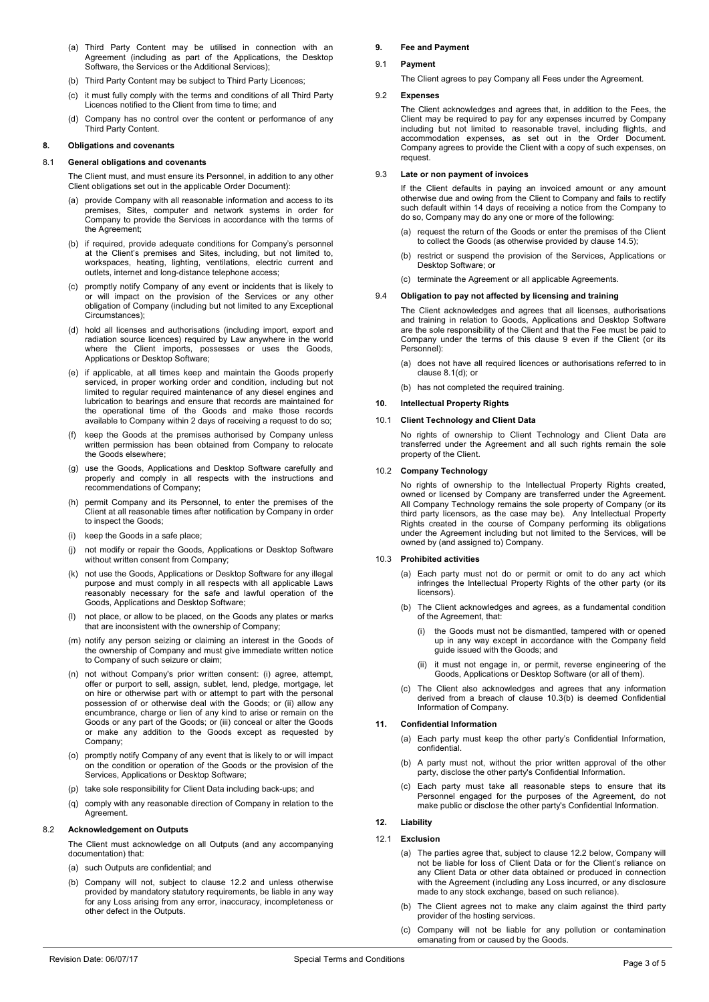- (a) Third Party Content may be utilised in connection with an Agreement (including as part of the Applications, the Desktop Software, the Services or the Additional Services);
- (b) Third Party Content may be subject to Third Party Licences;
- (c) it must fully comply with the terms and conditions of all Third Party Licences notified to the Client from time to time; and
- (d) Company has no control over the content or performance of any Third Party Content.

### **8. Obligations and covenants**

#### <span id="page-2-1"></span>8.1 **General obligations and covenants**

The Client must, and must ensure its Personnel, in addition to any other Client obligations set out in the applicable Order Document):

- (a) provide Company with all reasonable information and access to its premises, Sites, computer and network systems in order for Company to provide the Services in accordance with the terms of the Agreement;
- (b) if required, provide adequate conditions for Company's personnel at the Client's premises and Sites, including, but not limited to, workspaces, heating, lighting, ventilations, electric current and outlets, internet and long-distance telephone access;
- (c) promptly notify Company of any event or incidents that is likely to or will impact on the provision of the Services or any other obligation of Company (including but not limited to any Exceptional Circumstances);
- <span id="page-2-3"></span>(d) hold all licenses and authorisations (including import, export and radiation source licences) required by Law anywhere in the world where the Client imports, possesses or uses the Goods, Applications or Desktop Software;
- <span id="page-2-6"></span>(e) if applicable, at all times keep and maintain the Goods properly serviced, in proper working order and condition, including but not limited to regular required maintenance of any diesel engines and lubrication to bearings and ensure that records are maintained for the operational time of the Goods and make those records available to Company within 2 days of receiving a request to do so;
- (f) keep the Goods at the premises authorised by Company unless written permission has been obtained from Company to relocate the Goods elsewhere;
- (g) use the Goods, Applications and Desktop Software carefully and properly and comply in all respects with the instructions and recommendations of Company;
- (h) permit Company and its Personnel, to enter the premises of the Client at all reasonable times after notification by Company in order to inspect the Goods;
- (i) keep the Goods in a safe place;
- (j) not modify or repair the Goods, Applications or Desktop Software without written consent from Company;
- (k) not use the Goods, Applications or Desktop Software for any illegal purpose and must comply in all respects with all applicable Laws reasonably necessary for the safe and lawful operation of the Goods, Applications and Desktop Software;
- (l) not place, or allow to be placed, on the Goods any plates or marks that are inconsistent with the ownership of Company;
- (m) notify any person seizing or claiming an interest in the Goods of the ownership of Company and must give immediate written notice to Company of such seizure or claim;
- (n) not without Company's prior written consent: (i) agree, attempt, offer or purport to sell, assign, sublet, lend, pledge, mortgage, let on hire or otherwise part with or attempt to part with the personal possession of or otherwise deal with the Goods; or (ii) allow any encumbrance, charge or lien of any kind to arise or remain on the Goods or any part of the Goods; or (iii) conceal or alter the Goods or make any addition to the Goods except as requested by Company;
- (o) promptly notify Company of any event that is likely to or will impact on the condition or operation of the Goods or the provision of the Services, Applications or Desktop Software;
- (p) take sole responsibility for Client Data including back-ups; and
- (q) comply with any reasonable direction of Company in relation to the **Agreement**

### 8.2 **Acknowledgement on Outputs**

The Client must acknowledge on all Outputs (and any accompanying documentation) that:

- (a) such Outputs are confidential; and
- (b) Company will not, subject to clause 12.2 and unless otherwise provided by mandatory statutory requirements, be liable in any way for any Loss arising from any error, inaccuracy, incompleteness or other defect in the Outputs.

#### <span id="page-2-2"></span>**9. Fee and Payment**

### 9.1 **Payment**

The Client agrees to pay Company all Fees under the Agreement.

### 9.2 **Expenses**

The Client acknowledges and agrees that, in addition to the Fees, the Client may be required to pay for any expenses incurred by Company including but not limited to reasonable travel, including flights, and accommodation expenses, as set out in the Order Document. Company agrees to provide the Client with a copy of such expenses, on request.

### <span id="page-2-5"></span>9.3 **Late or non payment of invoices**

If the Client defaults in paying an invoiced amount or any amount otherwise due and owing from the Client to Company and fails to rectify such default within 14 days of receiving a notice from the Company to do so, Company may do any one or more of the following:

- (a) request the return of the Goods or enter the premises of the Client to collect the Goods (as otherwise provided by claus[e 14.5\)](#page-3-2);
- (b) restrict or suspend the provision of the Services, Applications or Desktop Software; or
- (c) terminate the Agreement or all applicable Agreements.

### 9.4 **Obligation to pay not affected by licensing and training**

The Client acknowledges and agrees that all licenses, authorisations and training in relation to Goods, Applications and Desktop Software are the sole responsibility of the Client and that the Fee must be paid to Company under the terms of this clause [9](#page-2-2) even if the Client (or its Personnel):

- (a) does not have all required licences or authorisations referred to in clause [8.1\(d\);](#page-2-3) or
- (b) has not completed the required training.

### <span id="page-2-7"></span>**10. Intellectual Property Rights**

### 10.1 **Client Technology and Client Data**

No rights of ownership to Client Technology and Client Data are transferred under the Agreement and all such rights remain the sole property of the Client.

#### 10.2 **Company Technology**

No rights of ownership to the Intellectual Property Rights created, owned or licensed by Company are transferred under the Agreement. All Company Technology remains the sole property of Company (or its third party licensors, as the case may be). Any Intellectual Property Rights created in the course of Company performing its obligations under the Agreement including but not limited to the Services, will be owned by (and assigned to) Company.

### <span id="page-2-0"></span>10.3 **Prohibited activities**

- (a) Each party must not do or permit or omit to do any act which infringes the Intellectual Property Rights of the other party (or its licensors)
- <span id="page-2-4"></span>(b) The Client acknowledges and agrees, as a fundamental condition of the Agreement, that:
	- (i) the Goods must not be dismantled, tampered with or opened up in any way except in accordance with the Company field guide issued with the Goods; and
	- (ii) it must not engage in, or permit, reverse engineering of the Goods, Applications or Desktop Software (or all of them).
- (c) The Client also acknowledges and agrees that any information derived from a breach of clause [10.3\(b\)](#page-2-4) is deemed Confidential Information of Company.

### **11. Confidential Information**

- (a) Each party must keep the other party's Confidential Information, confidential.
- (b) A party must not, without the prior written approval of the other party, disclose the other party's Confidential Information.
- (c) Each party must take all reasonable steps to ensure that its Personnel engaged for the purposes of the Agreement, do not make public or disclose the other party's Confidential Information.

## <span id="page-2-8"></span>**12. Liability**

### 12.1 **Exclusion**

- (a) The parties agree that, subject to clause 12.2 below, Company will not be liable for loss of Client Data or for the Client's reliance on any Client Data or other data obtained or produced in connection with the Agreement (including any Loss incurred, or any disclosure made to any stock exchange, based on such reliance).
- (b) The Client agrees not to make any claim against the third party provider of the hosting services.
- (c) Company will not be liable for any pollution or contamination emanating from or caused by the Goods.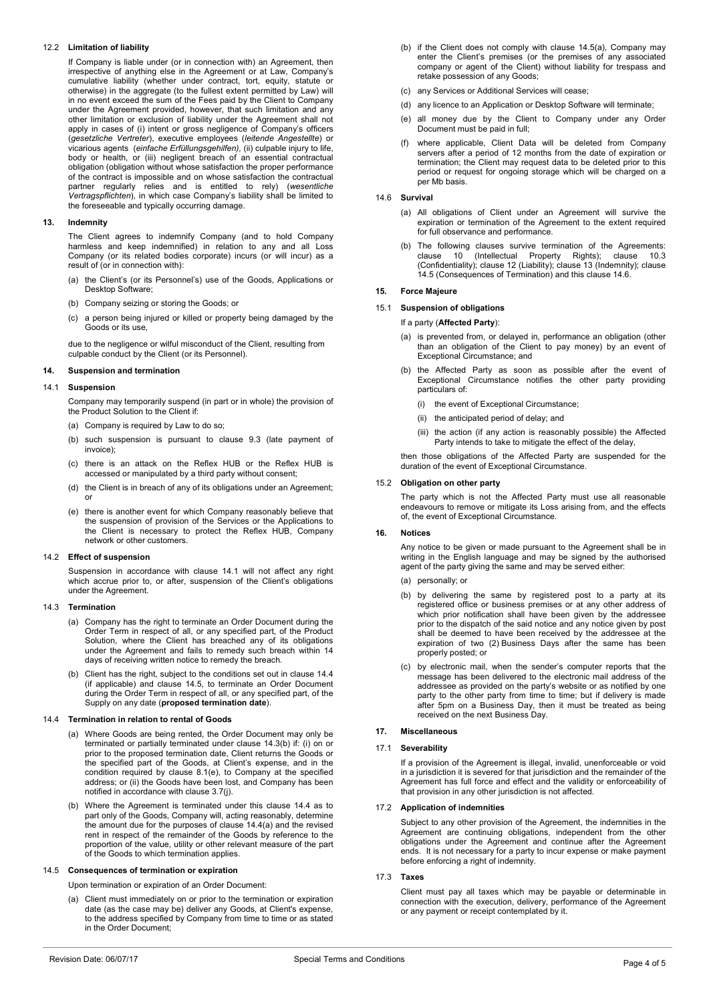## 12.2 **Limitation of liability**

If Company is liable under (or in connection with) an Agreement, then irrespective of anything else in the Agreement or at Law, Company's cumulative liability (whether under contract, tort, equity, statute or otherwise) in the aggregate (to the fullest extent permitted by Law) will in no event exceed the sum of the Fees paid by the Client to Company under the Agreement provided, however, that such limitation and any other limitation or exclusion of liability under the Agreement shall not apply in cases of (i) intent or gross negligence of Company's officers (*gesetzliche Vertreter*), executive employees (*leitende Angestellte*) or vicarious agents (*einfache Erfüllungsgehilfen), (*ii) culpable injury to life,<br>body or health, or (iii) negligent breach of an essential contractual obligation (obligation without whose satisfaction the proper performance of the contract is impossible and on whose satisfaction the contractual partner regularly relies and is entitled to rely) (*wesentliche Vertragspflichten*), in which case Company's liability shall be limited to the foreseeable and typically occurring damage.

### <span id="page-3-7"></span>**13. Indemnity**

The Client agrees to indemnify Company (and to hold Company harmless and keep indemnified) in relation to any and all Loss Company (or its related bodies corporate) incurs (or will incur) as a result of (or in connection with):

- (a) the Client's (or its Personnel's) use of the Goods, Applications or Desktop Software;
- (b) Company seizing or storing the Goods; or
- (c) a person being injured or killed or property being damaged by the Goods or its use,

due to the negligence or wilful misconduct of the Client, resulting from culpable conduct by the Client (or its Personnel).

### **14. Suspension and termination**

### <span id="page-3-3"></span>14.1 **Suspension**

Company may temporarily suspend (in part or in whole) the provision of the Product Solution to the Client if:

- (a) Company is required by Law to do so;
- (b) such suspension is pursuant to clause [9.3](#page-2-5) (late payment of invoice);
- (c) there is an attack on the Reflex HUB or the Reflex HUB is accessed or manipulated by a third party without consent;
- (d) the Client is in breach of any of its obligations under an Agreement; or
- (e) there is another event for which Company reasonably believe that the suspension of provision of the Services or the Applications to the Client is necessary to protect the Reflex HUB, Company network or other customers.

### 14.2 **Effect of suspension**

Suspension in accordance with clause [14.1](#page-3-3) will not affect any right which accrue prior to, or after, suspension of the Client's obligations under the Agreement.

### <span id="page-3-0"></span>14.3 **Termination**

- (a) Company has the right to terminate an Order Document during the Order Term in respect of all, or any specified part, of the Product Solution, where the Client has breached any of its obligations under the Agreement and fails to remedy such breach within 14 days of receiving written notice to remedy the breach.
- <span id="page-3-4"></span>(b) Client has the right, subject to the conditions set out in clause [14.4](#page-3-1) (if applicable) and clause [14.5,](#page-3-2) to terminate an Order Document during the Order Term in respect of all, or any specified part, of the Supply on any date (**proposed termination date**).

### <span id="page-3-5"></span><span id="page-3-1"></span>14.4 **Termination in relation to rental of Goods**

- (a) Where Goods are being rented, the Order Document may only be terminated or partially terminated under claus[e 14.3\(b\)](#page-3-4) if: (i) on or prior to the proposed termination date, Client returns the Goods or the specified part of the Goods, at Client's expense, and in the condition required by clause [8.1\(e\),](#page-2-6) to Company at the specified address; or (ii) the Goods have been lost, and Company has been notified in accordance with clause [3.7\(j\).](#page-1-2)
- (b) Where the Agreement is terminated under this clause [14.4](#page-3-1) as to part only of the Goods, Company will, acting reasonably, determine the amount due for the purposes of clause [14.4\(a\)](#page-3-5) and the revised rent in respect of the remainder of the Goods by reference to the proportion of the value, utility or other relevant measure of the part of the Goods to which termination applies.

### <span id="page-3-6"></span><span id="page-3-2"></span>14.5 **Consequences of termination or expiration**

Upon termination or expiration of an Order Document:

(a) Client must immediately on or prior to the termination or expiration date (as the case may be) deliver any Goods, at Client's expense, to the address specified by Company from time to time or as stated in the Order Document;

- (b) if the Client does not comply with clause [14.5\(a\),](#page-3-6) Company may enter the Client's premises (or the premises of any associated company or agent of the Client) without liability for trespass and retake possession of any Goods;
- (c) any Services or Additional Services will cease;
- (d) any licence to an Application or Desktop Software will terminate;
- (e) all money due by the Client to Company under any Order Document must be paid in full;
- where applicable, Client Data will be deleted from Company servers after a period of 12 months from the date of expiration or termination; the Client may request data to be deleted prior to this period or request for ongoing storage which will be charged on a per Mb basis.

### <span id="page-3-8"></span>14.6 **Survival**

- (a) All obligations of Client under an Agreement will survive the expiration or termination of the Agreement to the extent required for full observance and performance.
- (b) The following clauses survive termination of the Agreements: clause [10](#page-2-7) (Intellectual Property Rights); clause [10.3](#page-2-0) (Confidentiality); clause [12](#page-2-8) (Liability); clause [13](#page-3-7) (Indemnity); clause [14.5](#page-3-2) (Consequences of Termination) and this claus[e 14.6.](#page-3-8)

## **15. Force Majeure**

# 15.1 **Suspension of obligations**

# If a party (**Affected Party**):

- (a) is prevented from, or delayed in, performance an obligation (other than an obligation of the Client to pay money) by an event of Exceptional Circumstance; and
- (b) the Affected Party as soon as possible after the event of Exceptional Circumstance notifies the other party providing particulars of:
	- (i) the event of Exceptional Circumstance;
	- (ii) the anticipated period of delay; and
	- (iii) the action (if any action is reasonably possible) the Affected Party intends to take to mitigate the effect of the delay,

then those obligations of the Affected Party are suspended for the duration of the event of Exceptional Circumstance.

### 15.2 **Obligation on other party**

The party which is not the Affected Party must use all reasonable endeavours to remove or mitigate its Loss arising from, and the effects of, the event of Exceptional Circumstance.

### **16. Notices**

Any notice to be given or made pursuant to the Agreement shall be in writing in the English language and may be signed by the authorised agent of the party giving the same and may be served either:

- (a) personally; or
- (b) by delivering the same by registered post to a party at its registered office or business premises or at any other address of which prior notification shall have been given by the addressee prior to the dispatch of the said notice and any notice given by post shall be deemed to have been received by the addressee at the expiration of two (2) Business Days after the same has been properly posted; or
- (c) by electronic mail, when the sender's computer reports that the message has been delivered to the electronic mail address of the addressee as provided on the party's website or as notified by one party to the other party from time to time; but if delivery is made after 5pm on a Business Day, then it must be treated as being received on the next Business Day.

# **17. Miscellaneous**

## 17.1 **Severability**

If a provision of the Agreement is illegal, invalid, unenforceable or void in a jurisdiction it is severed for that jurisdiction and the remainder of the Agreement has full force and effect and the validity or enforceability of that provision in any other jurisdiction is not affected.

### 17.2 **Application of indemnities**

Subject to any other provision of the Agreement, the indemnities in the Agreement are continuing obligations, independent from the other obligations under the Agreement and continue after the Agreement ends. It is not necessary for a party to incur expense or make payment before enforcing a right of indemnity.

### 17.3 **Taxes**

Client must pay all taxes which may be payable or determinable in connection with the execution, delivery, performance of the Agreement or any payment or receipt contemplated by it.